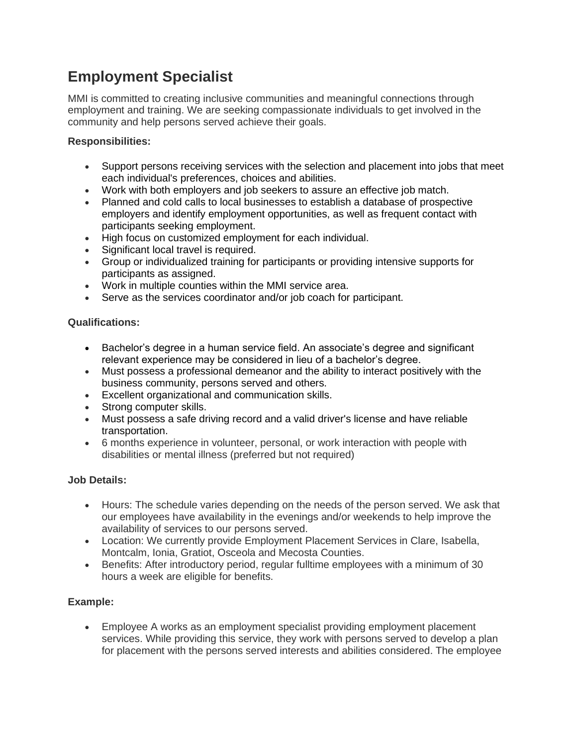# **Employment Specialist**

MMI is committed to creating inclusive communities and meaningful connections through employment and training. We are seeking compassionate individuals to get involved in the community and help persons served achieve their goals.

### **Responsibilities:**

- Support persons receiving services with the selection and placement into jobs that meet each individual's preferences, choices and abilities.
- Work with both employers and job seekers to assure an effective job match.
- Planned and cold calls to local businesses to establish a database of prospective employers and identify employment opportunities, as well as frequent contact with participants seeking employment.
- High focus on customized employment for each individual.
- Significant local travel is required.
- Group or individualized training for participants or providing intensive supports for participants as assigned.
- Work in multiple counties within the MMI service area.
- Serve as the services coordinator and/or job coach for participant.

#### **Qualifications:**

- Bachelor's degree in a human service field. An associate's degree and significant relevant experience may be considered in lieu of a bachelor's degree.
- Must possess a professional demeanor and the ability to interact positively with the business community, persons served and others.
- Excellent organizational and communication skills.
- Strong computer skills.
- Must possess a safe driving record and a valid driver's license and have reliable transportation.
- 6 months experience in volunteer, personal, or work interaction with people with disabilities or mental illness (preferred but not required)

#### **Job Details:**

- Hours: The schedule varies depending on the needs of the person served. We ask that our employees have availability in the evenings and/or weekends to help improve the availability of services to our persons served.
- Location: We currently provide Employment Placement Services in Clare, Isabella, Montcalm, Ionia, Gratiot, Osceola and Mecosta Counties.
- Benefits: After introductory period, regular fulltime employees with a minimum of 30 hours a week are eligible for benefits.

## **Example:**

• Employee A works as an employment specialist providing employment placement services. While providing this service, they work with persons served to develop a plan for placement with the persons served interests and abilities considered. The employee